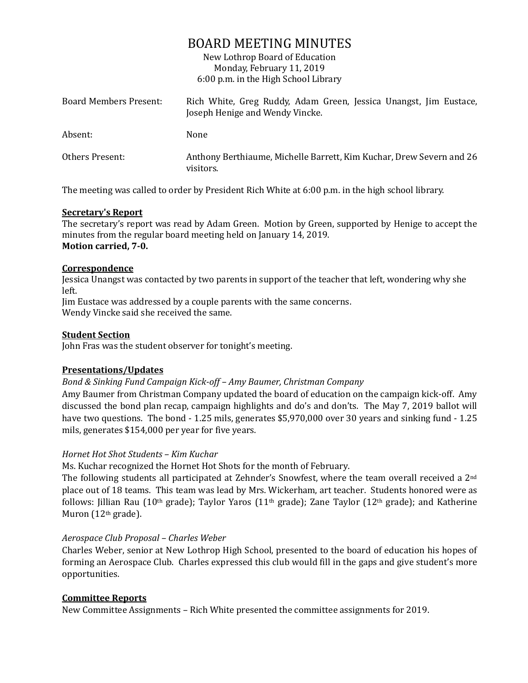# BOARD MEETING MINUTES

New Lothrop Board of Education Monday, February 11, 2019 6:00 p.m. in the High School Library

| Board Members Present: | Rich White, Greg Ruddy, Adam Green, Jessica Unangst, Jim Eustace,<br>Joseph Henige and Wendy Vincke. |
|------------------------|------------------------------------------------------------------------------------------------------|
| Absent:                | None                                                                                                 |
| Others Present:        | Anthony Berthiaume, Michelle Barrett, Kim Kuchar, Drew Severn and 26<br>visitors.                    |

The meeting was called to order by President Rich White at 6:00 p.m. in the high school library.

### **Secretary's Report**

The secretary's report was read by Adam Green. Motion by Green, supported by Henige to accept the minutes from the regular board meeting held on January 14, 2019. **Motion carried, 7-0.**

### **Correspondence**

Jessica Unangst was contacted by two parents in support of the teacher that left, wondering why she left.

Jim Eustace was addressed by a couple parents with the same concerns.

Wendy Vincke said she received the same.

### **Student Section**

John Fras was the student observer for tonight's meeting.

### **Presentations/Updates**

*Bond & Sinking Fund Campaign Kick-off – Amy Baumer, Christman Company*

Amy Baumer from Christman Company updated the board of education on the campaign kick-off. Amy discussed the bond plan recap, campaign highlights and do's and don'ts. The May 7, 2019 ballot will have two questions. The bond - 1.25 mils, generates \$5,970,000 over 30 years and sinking fund - 1.25 mils, generates \$154,000 per year for five years.

#### *Hornet Hot Shot Students – Kim Kuchar*

Ms. Kuchar recognized the Hornet Hot Shots for the month of February.

The following students all participated at Zehnder's Snowfest, where the team overall received a 2nd place out of 18 teams. This team was lead by Mrs. Wickerham, art teacher. Students honored were as follows: Jillian Rau (10<sup>th</sup> grade); Taylor Yaros (11<sup>th</sup> grade); Zane Taylor (12<sup>th</sup> grade); and Katherine Muron (12<sup>th</sup> grade).

#### *Aerospace Club Proposal – Charles Weber*

Charles Weber, senior at New Lothrop High School, presented to the board of education his hopes of forming an Aerospace Club. Charles expressed this club would fill in the gaps and give student's more opportunities.

### **Committee Reports**

New Committee Assignments – Rich White presented the committee assignments for 2019.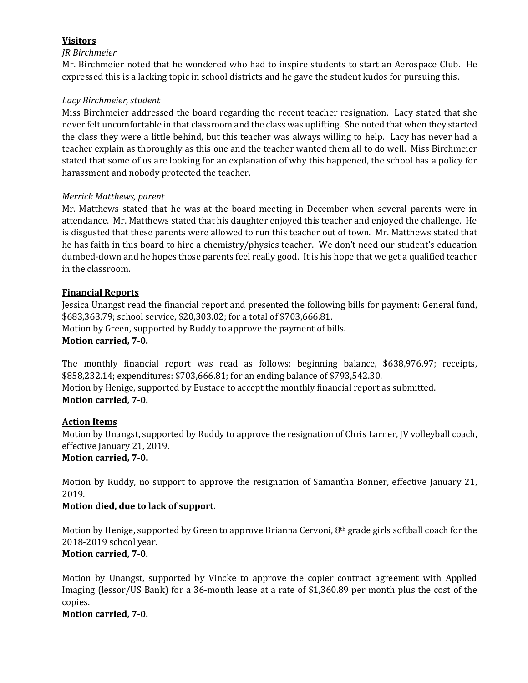# **Visitors**

### *JR Birchmeier*

Mr. Birchmeier noted that he wondered who had to inspire students to start an Aerospace Club. He expressed this is a lacking topic in school districts and he gave the student kudos for pursuing this.

### *Lacy Birchmeier, student*

Miss Birchmeier addressed the board regarding the recent teacher resignation. Lacy stated that she never felt uncomfortable in that classroom and the class was uplifting. She noted that when they started the class they were a little behind, but this teacher was always willing to help. Lacy has never had a teacher explain as thoroughly as this one and the teacher wanted them all to do well. Miss Birchmeier stated that some of us are looking for an explanation of why this happened, the school has a policy for harassment and nobody protected the teacher.

### *Merrick Matthews, parent*

Mr. Matthews stated that he was at the board meeting in December when several parents were in attendance. Mr. Matthews stated that his daughter enjoyed this teacher and enjoyed the challenge. He is disgusted that these parents were allowed to run this teacher out of town. Mr. Matthews stated that he has faith in this board to hire a chemistry/physics teacher. We don't need our student's education dumbed-down and he hopes those parents feel really good. It is his hope that we get a qualified teacher in the classroom.

# **Financial Reports**

Jessica Unangst read the financial report and presented the following bills for payment: General fund, \$683,363.79; school service, \$20,303.02; for a total of \$703,666.81. Motion by Green, supported by Ruddy to approve the payment of bills. **Motion carried, 7-0.**

The monthly financial report was read as follows: beginning balance, \$638,976.97; receipts, \$858,232.14; expenditures: \$703,666.81; for an ending balance of \$793,542.30. Motion by Henige, supported by Eustace to accept the monthly financial report as submitted. **Motion carried, 7-0.**

### **Action Items**

Motion by Unangst, supported by Ruddy to approve the resignation of Chris Larner, JV volleyball coach, effective January 21, 2019. **Motion carried, 7-0.** 

Motion by Ruddy, no support to approve the resignation of Samantha Bonner, effective January 21, 2019.

# **Motion died, due to lack of support.**

Motion by Henige, supported by Green to approve Brianna Cervoni, 8th grade girls softball coach for the 2018-2019 school year.

# **Motion carried, 7-0.**

Motion by Unangst, supported by Vincke to approve the copier contract agreement with Applied Imaging (lessor/US Bank) for a 36-month lease at a rate of \$1,360.89 per month plus the cost of the copies.

### **Motion carried, 7-0.**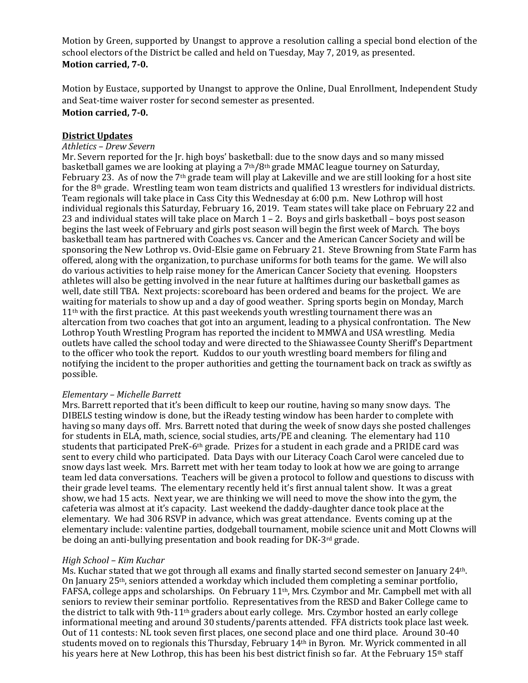Motion by Green, supported by Unangst to approve a resolution calling a special bond election of the school electors of the District be called and held on Tuesday, May 7, 2019, as presented. **Motion carried, 7-0.**

Motion by Eustace, supported by Unangst to approve the Online, Dual Enrollment, Independent Study and Seat-time waiver roster for second semester as presented. **Motion carried, 7-0.**

#### **District Updates**

#### *Athletics – Drew Severn*

Mr. Severn reported for the Jr. high boys' basketball: due to the snow days and so many missed basketball games we are looking at playing a 7th/8th grade MMAC league tourney on Saturday, February 23. As of now the 7<sup>th</sup> grade team will play at Lakeville and we are still looking for a host site for the 8th grade. Wrestling team won team districts and qualified 13 wrestlers for individual districts. Team regionals will take place in Cass City this Wednesday at 6:00 p.m. New Lothrop will host individual regionals this Saturday, February 16, 2019. Team states will take place on February 22 and 23 and individual states will take place on March 1 – 2. Boys and girls basketball – boys post season begins the last week of February and girls post season will begin the first week of March. The boys basketball team has partnered with Coaches vs. Cancer and the American Cancer Society and will be sponsoring the New Lothrop vs. Ovid-Elsie game on February 21. Steve Browning from State Farm has offered, along with the organization, to purchase uniforms for both teams for the game. We will also do various activities to help raise money for the American Cancer Society that evening. Hoopsters athletes will also be getting involved in the near future at halftimes during our basketball games as well, date still TBA. Next projects: scoreboard has been ordered and beams for the project. We are waiting for materials to show up and a day of good weather. Spring sports begin on Monday, March  $11<sup>th</sup>$  with the first practice. At this past weekends youth wrestling tournament there was an altercation from two coaches that got into an argument, leading to a physical confrontation. The New Lothrop Youth Wrestling Program has reported the incident to MMWA and USA wrestling. Media outlets have called the school today and were directed to the Shiawassee County Sheriff's Department to the officer who took the report. Kuddos to our youth wrestling board members for filing and notifying the incident to the proper authorities and getting the tournament back on track as swiftly as possible.

#### *Elementary – Michelle Barrett*

Mrs. Barrett reported that it's been difficult to keep our routine, having so many snow days. The DIBELS testing window is done, but the iReady testing window has been harder to complete with having so many days off. Mrs. Barrett noted that during the week of snow days she posted challenges for students in ELA, math, science, social studies, arts/PE and cleaning. The elementary had 110 students that participated PreK-6th grade. Prizes for a student in each grade and a PRIDE card was sent to every child who participated. Data Days with our Literacy Coach Carol were canceled due to snow days last week. Mrs. Barrett met with her team today to look at how we are going to arrange team led data conversations. Teachers will be given a protocol to follow and questions to discuss with their grade level teams. The elementary recently held it's first annual talent show. It was a great show, we had 15 acts. Next year, we are thinking we will need to move the show into the gym, the cafeteria was almost at it's capacity. Last weekend the daddy-daughter dance took place at the elementary. We had 306 RSVP in advance, which was great attendance. Events coming up at the elementary include: valentine parties, dodgeball tournament, mobile science unit and Mott Clowns will be doing an anti-bullying presentation and book reading for DK-3rd grade.

#### *High School – Kim Kuchar*

Ms. Kuchar stated that we got through all exams and finally started second semester on January 24th. On January  $25<sup>th</sup>$ , seniors attended a workday which included them completing a seminar portfolio, FAFSA, college apps and scholarships. On February 11th, Mrs. Czymbor and Mr. Campbell met with all seniors to review their seminar portfolio. Representatives from the RESD and Baker College came to the district to talk with 9th-11th graders about early college. Mrs. Czymbor hosted an early college informational meeting and around 30 students/parents attended. FFA districts took place last week. Out of 11 contests: NL took seven first places, one second place and one third place. Around 30-40 students moved on to regionals this Thursday, February 14th in Byron. Mr. Wyrick commented in all his years here at New Lothrop, this has been his best district finish so far. At the February 15th staff